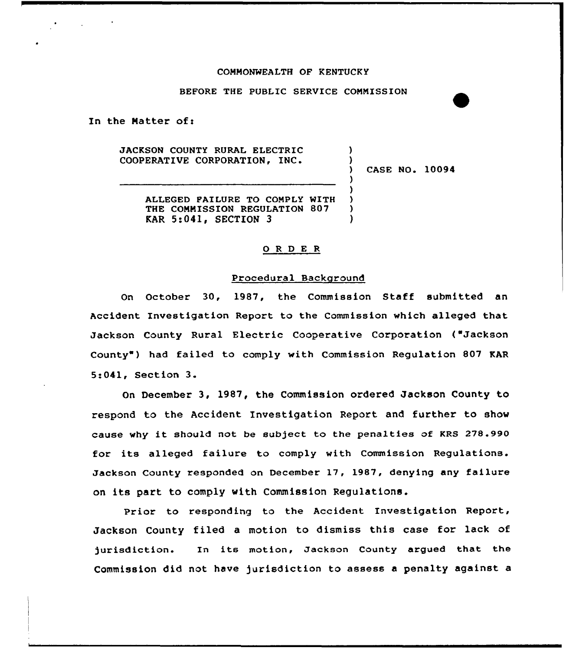#### COMMONWEALTH OF KENTUCKY

# BEFORE THE PUBLIC SERVICE COMMISSION

In the Matter of:

JACKSON COUNTY RURAL ELECTRIC COOPERATIVE CORPORATION,

) CASE NO. 10094

) )

) ) ) ) )

ALLEGED PAILURE TO COMPLY WITH THE COMMISSION REGULATION 807 KAR 5:041, SECTION 3

#### 0 R <sup>D</sup> E <sup>R</sup>

#### Procedural Background

On October 30, 1987, the Commission Staff submitted an Accident Investigation Report to the Commission which alleged that Jackson County Rural Electric Cooperative Corporation ("Jackson County ) had failed to comply with Commission Regulation 807 KAR 5:041, Section 3.

On December 3, 1987, the Commission ordered Jackson County to respond to the Accident Investigation Report and further to show cause why it should not be subject to the penalties of KRS 278.990 for its alleged failure to comply with Commission Regulations. Jackson County xesponded on Decembex 17, 1987, denying any failure on its part to comply with Commission Regulations.

Prior to responding to the Accident Investigation Report, Jackson County filed a motion to dismiss this case for lack of )urisdiction. In its motion, Jackson County argued that the Commission did not have jurisdiction to assess a penalty against a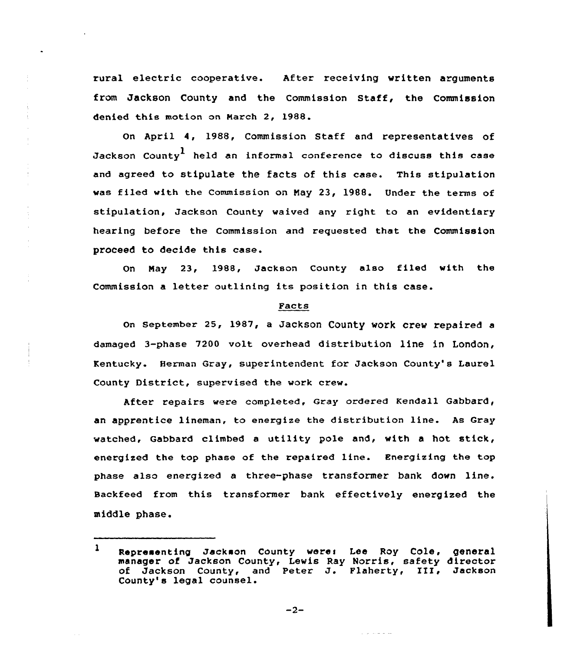rural electric cooperative. After receiving written arguments from Jackson County and the Commission Staff, the Commission denied this motion on Narch 2, 1988.

On April 4, 1988, Commission Staff and representatives of Jackson Countv<sup>1</sup> held an informal conference to discuss this case and agreed to stipulate the facts of this case. This stipulation was filed with the Commission on May 23, 1988. Under the terms of stipulation, Jackson County waived any right to an evidentiary hearing before the Commission and requested that the Commission proceed to decide this case.

On Nay 23, 1988, Jackson County also filed with the Commission a letter outlining its position in this case.

# Facts

on september 25, 1987, a Jackson County work crew repaired a damaged 3-phase 7200 volt overhead distribution line in London, Kentucky. Herman Gray, superintendent for Jackson County's Laurel County District, supervised the work crew.

After repairs were completed, Gray ordered Kendall Gabbard, an apprentice lineman, to energize the distribution line. As Gray watched, Gabbard climbed <sup>a</sup> utility pole and, with <sup>a</sup> hot stick, energized the top phase of the repaired line. Energizing the top phase also energized a three-phase transformer bank down line. Backfeed from this transformer bank effectively energized the middle phase.

 $-2-$ 

 $\mathbf{1}$ Representing Jackson County were: Lee Roy Cole, general manager of Jackson County, Lewis Ray Norris, safety director of Jackson County, and Peter J. Flaherty, III, Jackson County's legal counsel.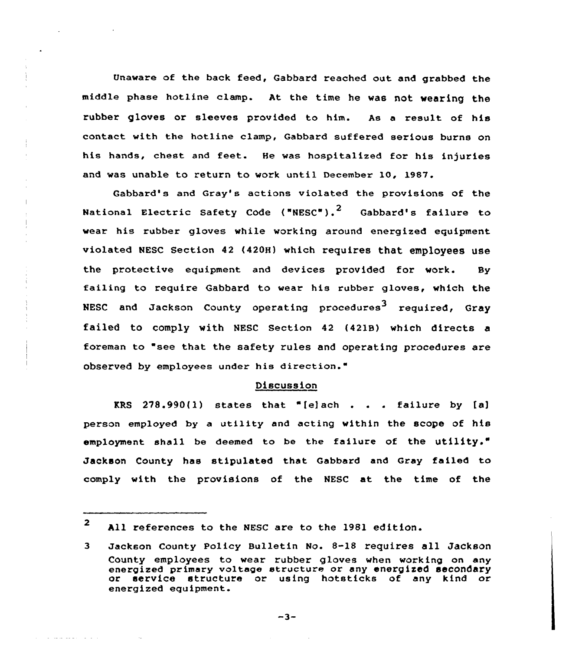Unaware of the back feed, Gabbard reached out and grabbed the middle phase hotline clamp. At the time he was not wearing the rubber gloves or sleeves provided to him. As a result of his contact with the hotline clamp, Gabbard suffered serious burns on his hands, chest and feet. He was hospitalized for his injuries and was unable to return to work until December 10, 1987.

Qabbard's and Gray's actions violated the provisions of the National Electric Safety Code ("NESC").<sup>2</sup> Gabbard's failure to wear his rubber gloves while working around energized equipment violated NEsc section 42 (420H) which requires that employees use the protective equipment and devices provided for work. Sy failing to require Gabbard to wear his rubber gloves, which the NESC and Jackson County operating procedures<sup>3</sup> required, Gray failed to comply with NESC Section 42 (421B) which directs foreman to "see that the safety rules and operating procedures are observed by employees under his direction."

#### Discussion

KRS  $278.990(1)$  states that "[e]ach . . . failure by [a] person employed by a utility and acting within the scope of his employment shall be deemed to be the failure of the utility." Jackson County has stipulated that Gabbard and Gray failed to comply with the provisions of the NESC at the time of the

2 All references to the NESC are to the 1981 edition.

and the secretary control of the

 $-3-$ 

<sup>3</sup> Jackson County policy Bulletin No. 8-18 requires all Jackson County employees to wear rubber gloves when working on any energized primary voltage structure or any energized secondary or service structure or using hotsticks of any kind or energized equipment.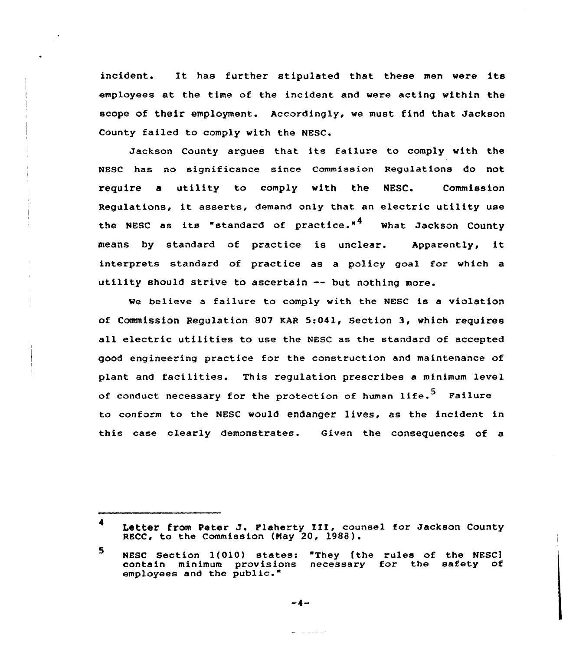incident. It has further stipulated that these men were its employees at the time of the incident and were acting within the scope of their employment. Accordingly, we must find that Jackson County failed to comply with the NESC.

Jackson County argues that its failure to comply with the NESC has no significance since Commission Regulations do not require a utility to comply with the MESC. Commission Regulations, it asserts, demand only that an electric utility use the NESC as its "standard of practice."<sup>4</sup> What Jackson County means by standard of practice is unclear. Apparently, it interprets standard of practice as a policy goal for which a utility should strive to ascertain -- but nothing more.

We believe a failure to comply with the NESC is a violation of Commission Requlation 807 KAR 5:041, Section 3, which requires all electric utilities to use the NESC as the standard of accepted good engineering practice for the construction and maintenance of plant and facilities. This regulation prescribes <sup>a</sup> minimum level of conduct necessary for the protection of human life.<sup>5</sup> Failure to conform to the NESC would endanger lives, as the incident in this case clearly demonstrates. Given the consequences of a

 $-4-$ 

Letter from Peter J. Plaherty III, counsel for Jackson County RECC, to the Commission (Nay 20, 1988).

 $5<sup>1</sup>$ NESC Section l(010} states: "They fthe rules of the NESC] contain minimum provisions necessary for the safety of employees and the public."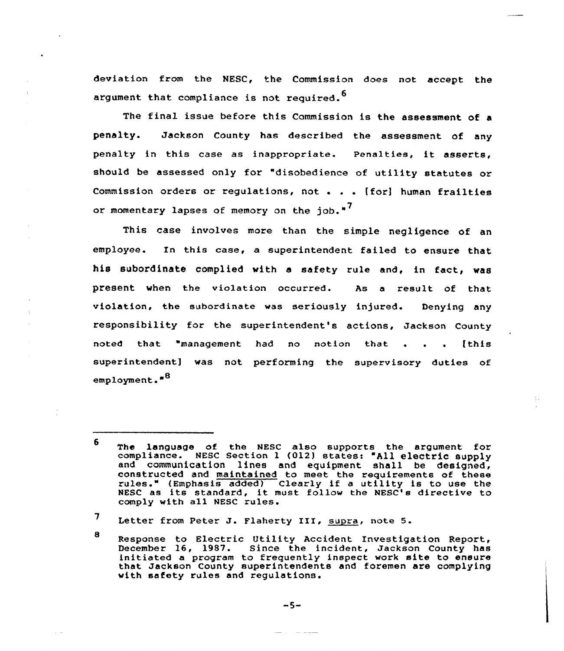deviatian fram the NESC, the Commission does not accept the argument that compliance is not required.<sup>0</sup>

The final issue before this Commission is the assessment of <sup>a</sup> penalty. Jackson County has described the assessment of any penalty in this case as inappropriate. penalties, it asserts, should be assessed only for "disobedience of utility statutes or Commission orders or regulations, not . . . [for] human frailties or momentary lapses of memory on the job."<sup>7</sup>

This case involves more than the simple negligence of an employee. In this case, a superintendent failed to ensuxe that his subordinate complied with a safety rule and, in fact, was present when the violation occurred. As a result of that violation, the subordinate was seriously injured. Denying any responsibility for the superintendent's actions, Jackson County .<br>noted that "management had no notion that . . . [this superintendent) was not performing the supervisory duties of employment."<sup>8</sup>

<sup>6</sup> The language af the NESC also suppoxts the argument for compliance. NESC Section 1 (012) states: "All electric supply and communication lines and equipment shall be designed, constructed and maintained ta meet the requirements of these rules." (Emphasis added) C1early if <sup>a</sup> utility is to use the rules." (Emphasis added) Clearly if a utility is to use the NESC as its standard, it must follow the NESC's directive to comply with all NESC rules.

 $7$  Letter from Peter J. Flaherty III, supra, note 5.

<sup>8</sup> Response to Electric Utility Accident Investigation Report,<br>December 16, 1987. Since the incident, Jackson County has initiated a program to frequently inspect work site to ensure that Jacksan County superintendents and foremen are complying with safety rules and regulations.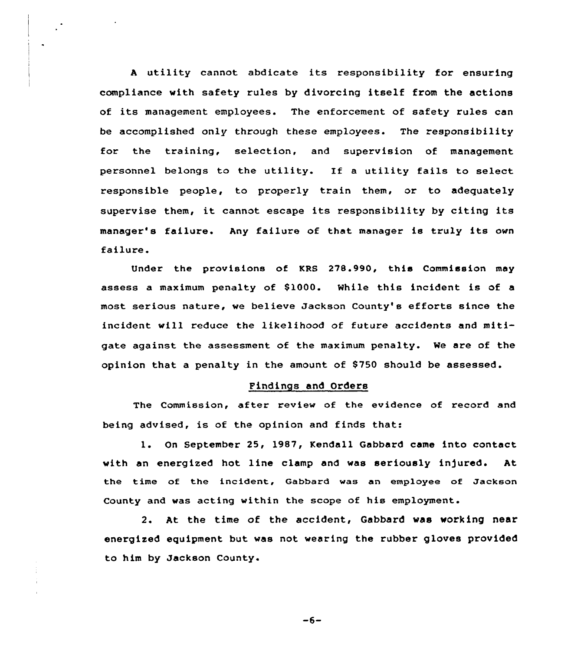<sup>A</sup> utility cannot abdicate its responsibility for ensuring compliance with safety rules by divorcing itself from the actions of its management employees. The enforcement of safety rules can be accomplished only through these employees. The responsibility for the training, selection, and supervision of management personnel belongs to the utility. If <sup>a</sup> utility fails to select responsible people, to properly train them, or to adequately supervise them, it cannot escape its responsibility by citing its manager's failure. Any failure of that manager is truly its own failure.

Under the provisions of KRS 278.990, this Commission may assess a maximum penalty of \$1000. While this incident is of a most serious nature, we believe Jackson County's efforts since the incident will reduce the likelihood of future accidents and mitigate against the assessment of the maximum penalty. We are of the opinion that a penalty in the amount, of 8750 should be assessed.

# Pindings and Orders

The Commission, after review of the evidence of record and being advised, is of the opinion and finds that:

l. On September 25, 1987, Kendall Gabbard came into contact with an energized hot line clamp and was seriously in)ured. At the time of the incident, Gabbard was an employee of Jackson County and was acting within the scope of his employment.

2. At the time of the accident, Gabbard was working near energized equipment but was not wearing the rubber gloves provided to him by Jackson County.

 $-6-$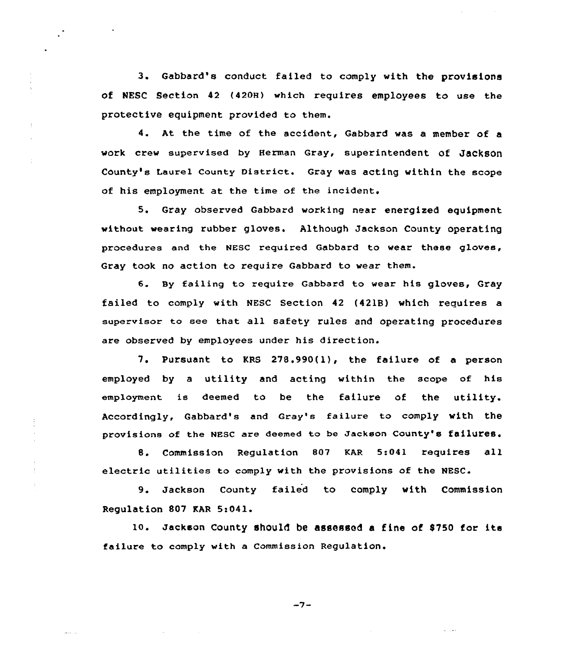3. Gabbard's conduct failed to comply with the provisions of NESC Section 42 (420H) which requires employees to use the protective equipment provided to them.

4. At the time of the accident, Gabbard was <sup>a</sup> member of <sup>a</sup> work crew supervised by Herman Gray, superintendent Of JaCkSOn County's Laurel County District. Gray was acting within the scope of his employment at the time of the incident.

5. Gray observed Gabbard working near energized equipment. without wearing rubber gloves. Although Jackson County operating procedures and the NESC required Gabbard to wear these gloves, Gray took no action to require Gabbard to wear them.

6. By failing to require Gabbard to wear his gloves, Gray failed to comply with MESC Section 42 (4218) which requires a supervisor to see that all safety rules and operating procedures are observed by employees under his direction.

7. Pursuant to KRS 278.990(l), the failure of a person employed by a utility and acting within the scope of his employment is deemed to be the failure of the utility. Accordingly, Gabbard's and Gray's failure to comply with the provisions of the NESC are deemed to be Jackson County's failures.

Commission Regulation 807 KAR 5:041 requires all electric utilities to comply with the provisions of the NESC

9. Jackson County failed to comply with Commission Regulation 807 KAR 5:041.

lo. Jackson County should be assessed <sup>a</sup> fine of 8750 for its failure to comply with a Commission Regulation.

 $-7-$